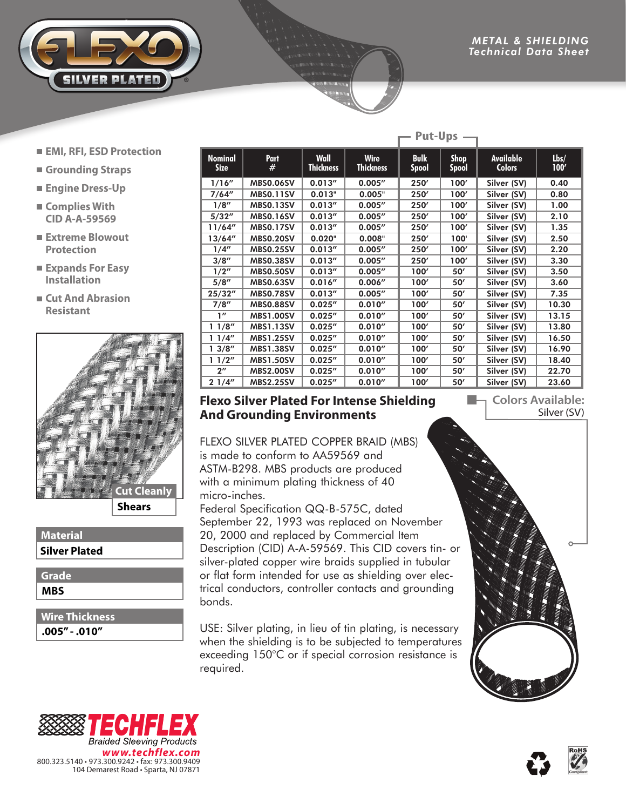

- **EMI, RFI, ESD Protection**
- **Grounding Straps**
- **Engine Dress-Up**
- **Complies With CID A-A-59569**
- **Extreme Blowout Protection**
- **Expands For Easy Installation**
- **Cut And Abrasion Resistant**



**Shears**

#### **Material Silver Plated**

**MBS Grade**

**.005" - .010" Wire Thickness**

| <b>Nominal</b><br><b>Size</b> | Part<br>#        | <b>Wall</b><br><b>Thickness</b> | <b>Wire</b><br><b>Thickness</b> | <b>Bulk</b><br><b>Spool</b> | <b>Shop</b><br><b>Spool</b> | <b>Available</b><br><b>Colors</b> | Lbs/<br>100' |
|-------------------------------|------------------|---------------------------------|---------------------------------|-----------------------------|-----------------------------|-----------------------------------|--------------|
| 1/16''                        | <b>MBS0.06SV</b> | 0.013''                         | 0.005''                         | 250'                        | 100'                        | Silver (SV)                       | 0.40         |
| 7/64''                        | <b>MBS0.11SV</b> | 0.013"                          | 0.005"                          | 250'                        | 100'                        | Silver (SV)                       | 0.80         |
| 1/8''                         | <b>MBS0.13SV</b> | 0.013''                         | 0.005''                         | 250'                        | 100'                        | Silver (SV)                       | 1.00         |
| 5/32''                        | <b>MBS0.16SV</b> | 0.013''                         | 0.005''                         | 250'                        | 100'                        | Silver (SV)                       | 2.10         |
| 11/64''                       | <b>MBS0.17SV</b> | 0.013''                         | 0.005''                         | 250'                        | 100'                        | Silver (SV)                       | 1.35         |
| 13/64''                       | <b>MBS0.20SV</b> | 0.020"                          | 0.008"                          | 250'                        | 100'                        | Silver (SV)                       | 2.50         |
| 1/4''                         | <b>MBS0.25SV</b> | 0.013''                         | 0.005''                         | 250'                        | 100'                        | Silver (SV)                       | 2.20         |
| 3/8''                         | <b>MBS0.38SV</b> | 0.013''                         | 0.005''                         | 250'                        | 100'                        | Silver (SV)                       | 3.30         |
| 1/2''                         | <b>MBS0.50SV</b> | 0.013''                         | 0.005''                         | 100'                        | 50'                         | Silver (SV)                       | 3.50         |
| 5/8''                         | <b>MBS0.63SV</b> | 0.016''                         | 0.006''                         | 100'                        | 50'                         | Silver (SV)                       | 3.60         |
| 25/32''                       | <b>MBS0.78SV</b> | 0.013''                         | 0.005''                         | 100'                        | 50'                         | Silver (SV)                       | 7.35         |
| 7/8''                         | <b>MBS0.88SV</b> | 0.025''                         | 0.010''                         | 100'                        | 50'                         | Silver (SV)                       | 10.30        |
| 1''                           | <b>MBS1.00SV</b> | 0.025''                         | 0.010''                         | 100'                        | 50'                         | Silver (SV)                       | 13.15        |
| 11/8''                        | <b>MBS1.13SV</b> | 0.025''                         | 0.010''                         | 100'                        | 50'                         | Silver (SV)                       | 13.80        |
| 11/4"                         | <b>MBS1.25SV</b> | 0.025''                         | 0.010''                         | 100'                        | 50'                         | Silver (SV)                       | 16.50        |
| 13/8''                        | <b>MBS1.38SV</b> | 0.025''                         | 0.010''                         | 100'                        | 50'                         | Silver (SV)                       | 16.90        |
| 11/2"                         | <b>MBS1.50SV</b> | 0.025''                         | 0.010''                         | 100'                        | 50'                         | Silver (SV)                       | 18.40        |
| $2^{\prime\prime}$            | <b>MBS2.00SV</b> | 0.025''                         | 0.010''                         | 100'                        | 50'                         | Silver (SV)                       | 22.70        |
| 21/4"                         | <b>MBS2.25SV</b> | 0.025''                         | 0.010''                         | 100'                        | 50'                         | Silver (SV)                       | 23.60        |

**Put-Ups**

### **Flexo Silver Plated For Intense Shielding And Grounding Environments**

FLEXO SILVER PLATED COPPER BRAID (MBS) is made to conform to AA59569 and ASTM-B298. MBS products are produced with a minimum plating thickness of 40 micro-inches.

Federal Specification QQ-B-575C, dated September 22, 1993 was replaced on November 20, 2000 and replaced by Commercial Item Description (CID) A-A-59569. This CID covers tin- or silver-plated copper wire braids supplied in tubular or flat form intended for use as shielding over electrical conductors, controller contacts and grounding bonds.

USE: Silver plating, in lieu of tin plating, is necessary when the shielding is to be subjected to temperatures exceeding 150°C or if special corrosion resistance is required.





### **Colors Available:** Silver (SV)

m.